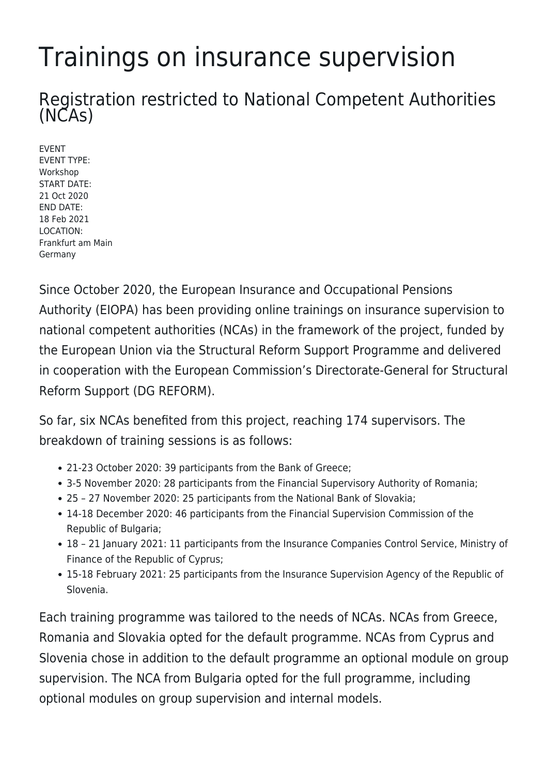## Trainings on insurance supervision

Registration restricted to National Competent Authorities (NCAs)

EVENT EVENT TYPE: Workshop START DATE: 21 Oct 2020 END DATE: 18 Feb 2021 LOCATION: Frankfurt am Main Germany

Since October 2020, the European Insurance and Occupational Pensions Authority (EIOPA) has been providing online trainings on insurance supervision to national competent authorities (NCAs) in the framework of the project, funded by the European Union via the Structural Reform Support Programme and delivered in cooperation with the European Commission's Directorate-General for Structural Reform Support (DG REFORM).

So far, six NCAs benefited from this project, reaching 174 supervisors. The breakdown of training sessions is as follows:

- 21-23 October 2020: 39 participants from the Bank of Greece;
- 3-5 November 2020: 28 participants from the Financial Supervisory Authority of Romania;
- 25 27 November 2020: 25 participants from the National Bank of Slovakia;
- 14-18 December 2020: 46 participants from the Financial Supervision Commission of the Republic of Bulgaria;
- 18 21 January 2021: 11 participants from the Insurance Companies Control Service, Ministry of Finance of the Republic of Cyprus;
- 15-18 February 2021: 25 participants from the Insurance Supervision Agency of the Republic of Slovenia.

Each training programme was tailored to the needs of NCAs. NCAs from Greece, Romania and Slovakia opted for the default programme. NCAs from Cyprus and Slovenia chose in addition to the default programme an optional module on group supervision. The NCA from Bulgaria opted for the full programme, including optional modules on group supervision and internal models.